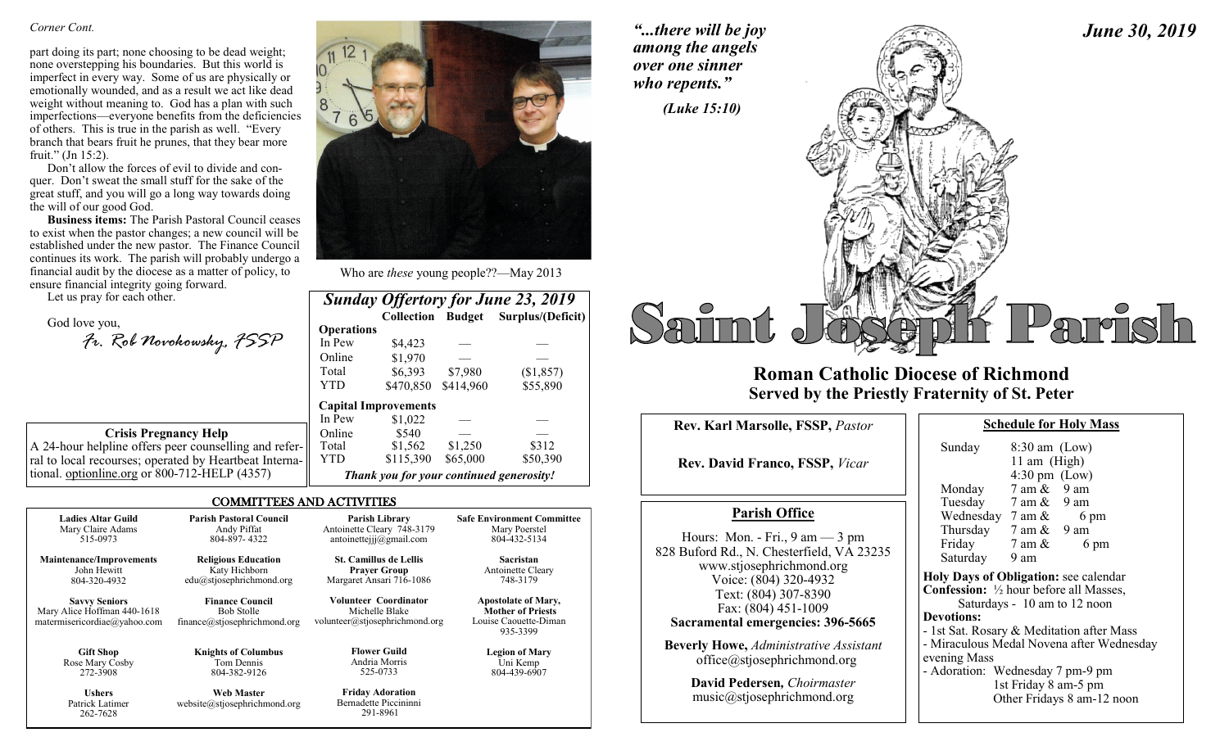### *Corner Cont.*

part doing its part; none choosing to be dead weight; none overstepping his boundaries. But this world is imperfect in every way. Some of us are physically or emotionally wounded, and as a result we act like dead weight without meaning to. God has a plan with such imperfections—everyone benefits from the deficiencies of others. This is true in the parish as well. "Every branch that bears fruit he prunes, that they bear more fruit." (Jn 15:2).

Don't allow the forces of evil to divide and conquer. Don't sweat the small stuff for the sake of the great stuff, and you will go a long way towards doing the will of our good God.

**Business items:** The Parish Pastoral Council ceases to exist when the pastor changes; a new council will be established under the new pastor. The Finance Council continues its work. The parish will probably undergo a financial audit by the diocese as a matter of policy, to ensure financial integrity going forward.

Let us pray for each other.

262-7628

God love you, *Fr. Rob Novokowsky, FSSP* 

**Crisis Pregnancy Help** A 24-hour helpline offers peer counselling and refer-

ral to local recourses; operated by Heartbeat International. optionline.org or 800-712-HELP (4357)

## COMMITTEES AND ACTIVITIES

| <b>Ladies Altar Guild</b>                                                           | <b>Parish Pastoral Council</b>                                              | Parish Library                                                                   | <b>Safe Environment Committee</b>                                                           |
|-------------------------------------------------------------------------------------|-----------------------------------------------------------------------------|----------------------------------------------------------------------------------|---------------------------------------------------------------------------------------------|
| Mary Claire Adams                                                                   | Andy Piffat                                                                 | Antoinette Cleary 748-3179                                                       | Mary Poerstel                                                                               |
| 515-0973                                                                            | 804-897-4322                                                                | antoinetteijj $@g$ mail.com                                                      | 804-432-5134                                                                                |
| <b>Maintenance/Improvements</b>                                                     | <b>Religious Education</b>                                                  | <b>St. Camillus de Lellis</b>                                                    | <b>Sacristan</b>                                                                            |
| John Hewitt                                                                         | Katy Hichborn                                                               | <b>Prayer Group</b>                                                              | Antoinette Cleary                                                                           |
| 804-320-4932                                                                        | edu@stjosephrichmond.org                                                    | Margaret Ansari 716-1086                                                         | 748-3179                                                                                    |
| <b>Savvy Seniors</b><br>Mary Alice Hoffman 440-1618<br>matermisericordiae@yahoo.com | <b>Finance Council</b><br><b>Bob Stolle</b><br>finance@stjosephrichmond.org | <b>Volunteer Coordinator</b><br>Michelle Blake<br>volunteer@stjosephrichmond.org | <b>Apostolate of Mary,</b><br><b>Mother of Priests</b><br>Louise Caouette-Diman<br>935-3399 |
| <b>Gift Shop</b>                                                                    | <b>Knights of Columbus</b>                                                  | <b>Flower Guild</b>                                                              | <b>Legion of Mary</b>                                                                       |
| Rose Mary Cosby                                                                     | Tom Dennis                                                                  | Andria Morris                                                                    | Uni Kemp                                                                                    |
| 272-3908                                                                            | 804-382-9126                                                                | 525-0733                                                                         | 804-439-6907                                                                                |
| <b>Ushers</b>                                                                       | <b>Web Master</b>                                                           | <b>Friday Adoration</b>                                                          |                                                                                             |
| Patrick Latimer                                                                     | website@stiosephrichmond.org                                                | Bernadette Piccininni                                                            |                                                                                             |

291-8961



Who are *these* young people??—May 2013

| <b>Sunday Offertory for June 23, 2019</b> |                          |           |                   |  |  |
|-------------------------------------------|--------------------------|-----------|-------------------|--|--|
|                                           | <b>Collection Budget</b> |           | Surplus/(Deficit) |  |  |
| <b>Operations</b>                         |                          |           |                   |  |  |
| In Pew                                    | \$4,423                  |           |                   |  |  |
| Online                                    | \$1,970                  |           |                   |  |  |
| Total                                     | \$6,393                  | \$7,980   | (\$1,857)         |  |  |
| <b>YTD</b>                                | \$470,850                | \$414,960 | \$55,890          |  |  |
| <b>Capital Improvements</b>               |                          |           |                   |  |  |
| In Pew                                    | \$1,022                  |           |                   |  |  |
| Online                                    | \$540                    |           |                   |  |  |
| Total                                     | \$1,562                  | \$1,250   | \$312             |  |  |
| YTD                                       | \$115,390                | \$65,000  | \$50,390          |  |  |
| Thank you for your continued generosity!  |                          |           |                   |  |  |

*"...there will be joy among the angels over one sinner who repents."*



## **Roman Catholic Diocese of Richmond Served by the Priestly Fraternity of St. Peter**

| Rev. Karl Marsolle, FSSP, Pastor                                                                                                                                                                                                                                                                                        | <b>Schedule for I</b>                                                                                                                                                                                                                                                           |  |
|-------------------------------------------------------------------------------------------------------------------------------------------------------------------------------------------------------------------------------------------------------------------------------------------------------------------------|---------------------------------------------------------------------------------------------------------------------------------------------------------------------------------------------------------------------------------------------------------------------------------|--|
| <b>Rev. David Franco, FSSP, Vicar</b>                                                                                                                                                                                                                                                                                   | Sunday<br>$8:30 \text{ am}$ (<br>11 am $(H)$<br>$4:30 \text{ pm}$ (<br>Monday<br>7 am &                                                                                                                                                                                         |  |
| <b>Parish Office</b>                                                                                                                                                                                                                                                                                                    | Tuesday 7 am $\&$<br>Wednesday $7 \text{ am } \&$                                                                                                                                                                                                                               |  |
| Hours: Mon. - Fri., $9 \text{ am} - 3 \text{ pm}$<br>828 Buford Rd., N. Chesterfield, VA 23235<br>www.stjosephrichmond.org<br>Voice: (804) 320-4932<br>Text: (804) 307-8390<br>Fax: (804) 451-1009<br>Sacramental emergencies: 396-5665<br><b>Beverly Howe, Administrative Assistant</b><br>office@stjosephrichmond.org | Thursday $7 \text{ am } \&$<br>Friday<br>7 am &<br>Saturday<br>9 am<br><b>Holy Days of Obligation:</b><br><b>Confession:</b> $\frac{1}{2}$ hour before<br>Saturdays - 10 am to<br><b>Devotions:</b><br>- 1st Sat. Rosary & Meditat<br>- Miraculous Medal Novena<br>evening Mass |  |
| David Pedersen, Choirmaster<br>music@stjosephrichmond.org                                                                                                                                                                                                                                                               | - Adoration: Wednesday 7<br>1st Friday 8 a<br>Other Fridays                                                                                                                                                                                                                     |  |

**Schedule Mass** 

*June 30, 2019*

| Sunday                                         | $8:30$ am (Low)         |                                           |
|------------------------------------------------|-------------------------|-------------------------------------------|
|                                                | 11 am (High)            |                                           |
|                                                | $4:30 \text{ pm}$ (Low) |                                           |
| Monday                                         | $7$ am $\&$ 9 am        |                                           |
| Tuesday                                        | 7 am & 9 am             |                                           |
| Wednesday $7 \text{ am } \&$                   |                         | 6 pm                                      |
| Thursday                                       | 7 am & 9 am             |                                           |
| Friday                                         | 7 am &                  | 6 pm                                      |
| Saturday                                       | 9 am                    |                                           |
| Holy Days of Obligation: see calendar          |                         |                                           |
| <b>Confession:</b> 1/2 hour before all Masses, |                         |                                           |
|                                                |                         | Saturdays - 10 am to 12 noon              |
| <b>Devotions:</b>                              |                         |                                           |
| - 1st Sat. Rosary & Meditation after Mass      |                         |                                           |
|                                                |                         | - Miraculous Medal Novena after Wednesday |
| $\sim$ $\sim$ $\sim$ $\sim$ $\sim$ $\sim$      |                         |                                           |

pm-9 pm  $1m-5$  pm 8 am-12 noon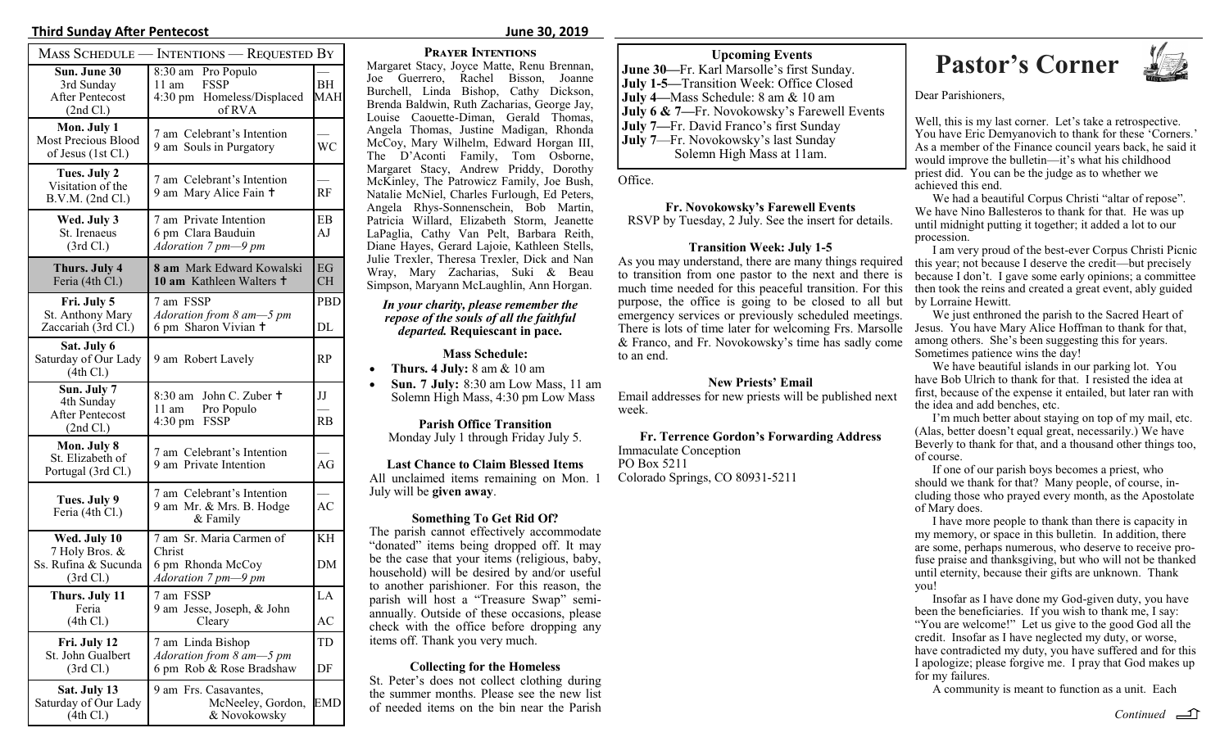## **Third Sunday After Pentecost June 30, 2019**

|                                                                     | <b>MASS SCHEDULE — INTENTIONS — REQUESTED BY</b>                                             |                 |
|---------------------------------------------------------------------|----------------------------------------------------------------------------------------------|-----------------|
| Sun. June 30<br>3rd Sunday<br><b>After Pentecost</b><br>(2nd Cl.)   | 8:30 am Pro Populo<br><b>FSSP</b><br>$11 \text{ am}$<br>4:30 pm Homeless/Displaced<br>of RVA | BH<br>MAH       |
| Mon. July 1<br>Most Precious Blood<br>of Jesus (1st Cl.)            | 7 am Celebrant's Intention<br>9 am Souls in Purgatory                                        | <b>WC</b>       |
| Tues. July 2<br>Visitation of the<br>B.V.M. (2nd Cl.)               | 7 am Celebrant's Intention<br>9 am Mary Alice Fain +                                         | RF              |
| Wed. July 3<br>St. Irenaeus<br>(3rd Cl.)                            | 7 am Private Intention<br>6 pm Clara Bauduin<br>Adoration 7 pm-9 pm                          | EB<br>AJ        |
| Thurs. July 4<br>Feria (4th Cl.)                                    | 8 am Mark Edward Kowalski<br>10 am Kathleen Walters +                                        | EG<br><b>CH</b> |
| Fri. July 5<br>St. Anthony Mary<br>Zaccariah (3rd Cl.)              | 7 am FSSP<br>Adoration from 8 am-5 pm<br>6 pm Sharon Vivian +                                | PBD<br>DL       |
| Sat. July 6<br>Saturday of Our Lady<br>(4th Cl.)                    | 9 am Robert Lavely                                                                           | RP              |
| Sun. July 7<br>4th Sunday<br><b>After Pentecost</b><br>(2nd Cl.)    | 8:30 am John C. Zuber +<br>$11$ am<br>Pro Populo<br>4:30 pm FSSP                             | IJ<br><b>RB</b> |
| Mon. July 8<br>St. Elizabeth of<br>Portugal (3rd Cl.)               | 7 am Celebrant's Intention<br>9 am Private Intention                                         | AG              |
| Tues. July 9<br>Feria (4th Cl.)                                     | 7 am Celebrant's Intention<br>9 am Mr. & Mrs. B. Hodge<br>& Family                           | AC              |
| Wed. July 10<br>7 Holy Bros. &<br>Ss. Rufina & Sucunda<br>(3rd Cl.) | 7 am Sr. Maria Carmen of<br>Christ<br>6 pm Rhonda McCoy<br>Adoration 7 pm-9 pm               | KH<br>DΜ        |
| Thurs. July 11<br>Feria<br>(4th Cl.)                                | 7 am FSSP<br>9 am Jesse, Joseph, & John<br>Cleary                                            | LA<br>AC        |
| Fri. July 12<br>St. John Gualbert<br>(3rd Cl.)                      | 7 am Linda Bishop<br>Adoration from $8 \text{ am--}5 \text{ pm}$<br>6 pm Rob & Rose Bradshaw | TD<br>DF        |
| Sat. July 13<br>Saturday of Our Lady<br>(4th Cl.)                   | 9 am Frs. Casavantes,<br>McNeeley, Gordon,<br>& Novokowsky                                   | EMD             |

### **Prayer Intentions**

Margaret Stacy, Joyce Matte, Renu Brennan, Joe Guerrero, Rachel Bisson, Joanne Burchell, Linda Bishop, Cathy Dickson, Brenda Baldwin, Ruth Zacharias, George Jay, Louise Caouette-Diman, Gerald Thomas, Angela Thomas, Justine Madigan, Rhonda McCoy, Mary Wilhelm, Edward Horgan III, The D'Aconti Family, Tom Osborne, Margaret Stacy, Andrew Priddy, Dorothy McKinley, The Patrowicz Family, Joe Bush, Natalie McNiel, Charles Furlough, Ed Peters, Angela Rhys-Sonnenschein, Bob Martin, Patricia Willard, Elizabeth Storm, Jeanette LaPaglia, Cathy Van Pelt, Barbara Reith, Diane Hayes, Gerard Lajoie, Kathleen Stells, Julie Trexler, Theresa Trexler, Dick and Nan Wray, Mary Zacharias, Suki & Beau Simpson, Maryann McLaughlin, Ann Horgan.

### *In your charity, please remember the repose of the souls of all the faithful departed.* **Requiescant in pace.**

### **Mass Schedule:**

- **Thurs. 4 July:** 8 am & 10 am
- **Sun. 7 July:** 8:30 am Low Mass, 11 am Solemn High Mass, 4:30 pm Low Mass

**Parish Office Transition** Monday July 1 through Friday July 5.

### **Last Chance to Claim Blessed Items**

All unclaimed items remaining on Mon. 1 July will be **given away**.

## **Something To Get Rid Of?**

The parish cannot effectively accommodate "donated" items being dropped off. It may be the case that your items (religious, baby, household) will be desired by and/or useful to another parishioner. For this reason, the parish will host a "Treasure Swap" semiannually. Outside of these occasions, please check with the office before dropping any items off. Thank you very much.

## **Collecting for the Homeless**

St. Peter's does not collect clothing during the summer months. Please see the new list of needed items on the bin near the Parish *Continued*

**June 30—**Fr. Karl Marsolle's first Sunday. **July 1-5—**Transition Week: Office Closed **July 4—**Mass Schedule: 8 am & 10 am **July 6 & 7—**Fr. Novokowsky's Farewell Events **July 7—**Fr. David Franco's first Sunday **July 7**—Fr. Novokowsky's last Sunday Solemn High Mass at 11am.

Office.

**Fr. Novokowsky's Farewell Events** RSVP by Tuesday, 2 July. See the insert for details.

## **Transition Week: July 1-5**

As you may understand, there are many things required to transition from one pastor to the next and there is much time needed for this peaceful transition. For this purpose, the office is going to be closed to all but by Lorraine Hewitt. emergency services or previously scheduled meetings. There is lots of time later for welcoming Frs. Marsolle & Franco, and Fr. Novokowsky's time has sadly come to an end.

**New Priests' Email**

Email addresses for new priests will be published next week.

**Fr. Terrence Gordon's Forwarding Address** Immaculate Conception PO Box 5211 Colorado Springs, CO 80931-5211

## Upcoming Events<br>arl Marsolle's first Sunday. **Pastor's Corner**



Dear Parishioners,

Well, this is my last corner. Let's take a retrospective. You have Eric Demyanovich to thank for these 'Corners.' As a member of the Finance council years back, he said it would improve the bulletin—it's what his childhood priest did. You can be the judge as to whether we achieved this end.

We had a beautiful Corpus Christi "altar of repose". We have Nino Ballesteros to thank for that. He was up until midnight putting it together; it added a lot to our procession.

I am very proud of the best-ever Corpus Christi Picnic this year; not because I deserve the credit—but precisely because I don't. I gave some early opinions; a committee then took the reins and created a great event, ably guided

We just enthroned the parish to the Sacred Heart of Jesus. You have Mary Alice Hoffman to thank for that, among others. She's been suggesting this for years. Sometimes patience wins the day!

We have beautiful islands in our parking lot. You have Bob Ulrich to thank for that. I resisted the idea at first, because of the expense it entailed, but later ran with the idea and add benches, etc.

I'm much better about staying on top of my mail, etc. (Alas, better doesn't equal great, necessarily.) We have Beverly to thank for that, and a thousand other things too, of course.

If one of our parish boys becomes a priest, who should we thank for that? Many people, of course, including those who prayed every month, as the Apostolate of Mary does.

I have more people to thank than there is capacity in my memory, or space in this bulletin. In addition, there are some, perhaps numerous, who deserve to receive profuse praise and thanksgiving, but who will not be thanked until eternity, because their gifts are unknown. Thank you!

Insofar as I have done my God-given duty, you have been the beneficiaries. If you wish to thank me, I say: "You are welcome!" Let us give to the good God all the credit. Insofar as I have neglected my duty, or worse, have contradicted my duty, you have suffered and for this I apologize; please forgive me. I pray that God makes up for my failures.

A community is meant to function as a unit. Each